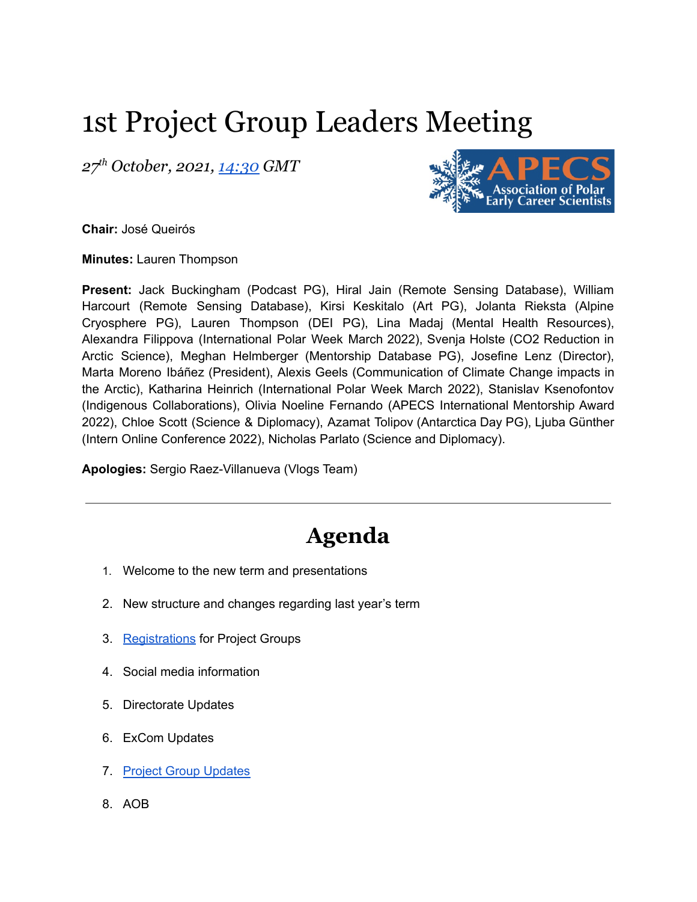## 1st Project Group Leaders Meeting

*27 th October, 2021, [14:30](https://us02web.zoom.us/j/86251139397?pwd=QjBzNVo5aFpYMUpOL0oyR1dITkpJUT09) GMT*



**Chair:** José Queirós

**Minutes:** Lauren Thompson

**Present:** Jack Buckingham (Podcast PG), Hiral Jain (Remote Sensing Database), William Harcourt (Remote Sensing Database), Kirsi Keskitalo (Art PG), Jolanta Rieksta (Alpine Cryosphere PG), Lauren Thompson (DEI PG), Lina Madaj (Mental Health Resources), Alexandra Filippova (International Polar Week March 2022), Svenja Holste (CO2 Reduction in Arctic Science), Meghan Helmberger (Mentorship Database PG), Josefine Lenz (Director), Marta Moreno Ibáñez (President), Alexis Geels (Communication of Climate Change impacts in the Arctic), Katharina Heinrich (International Polar Week March 2022), Stanislav Ksenofontov (Indigenous Collaborations), Olivia Noeline Fernando (APECS International Mentorship Award 2022), Chloe Scott (Science & Diplomacy), Azamat Tolipov (Antarctica Day PG), Ljuba Günther (Intern Online Conference 2022), Nicholas Parlato (Science and Diplomacy).

**Apologies:** Sergio Raez-Villanueva (Vlogs Team)

## **Agenda**

- 1. Welcome to the new term and presentations
- 2. New structure and changes regarding last year's term
- 3. [Registrations](https://www.apecs.is/news/apecs-news/4710-sign-up-for-apecs-project-groups-2021-2022.html) for Project Groups
- 4. Social media information
- 5. Directorate Updates
- 6. ExCom Updates
- 7. Project Group [Updates](https://docs.google.com/document/d/14Mc3Ux4H6PMCBp6G4-w9yW5umVatoPdaRwkbb7eqKpM/edit#)
- 8. AOB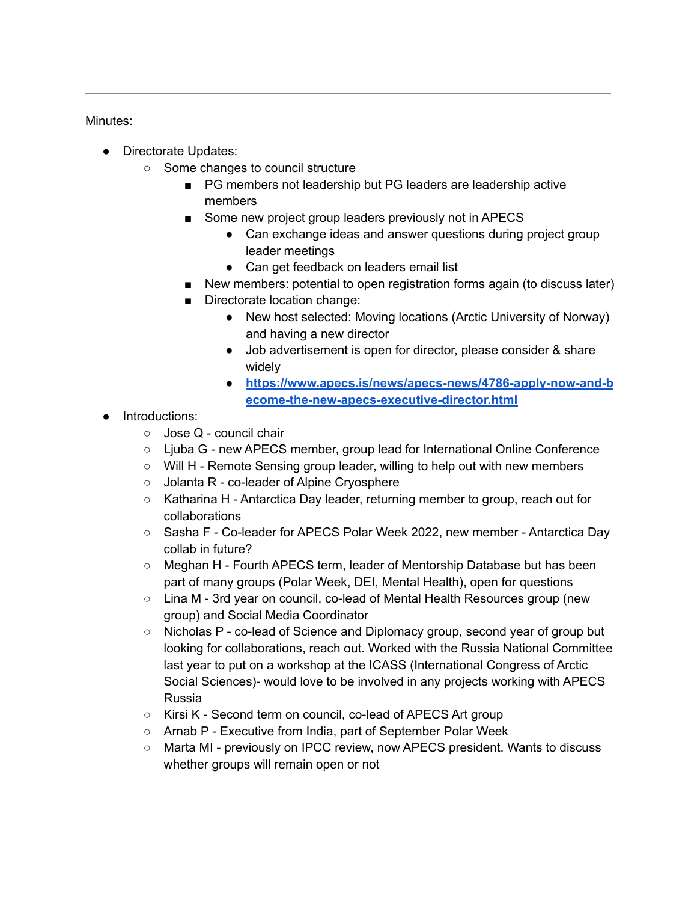## Minutes:

- Directorate Updates:
	- Some changes to council structure
		- PG members not leadership but PG leaders are leadership active members
		- Some new project group leaders previously not in APECS
			- Can exchange ideas and answer questions during project group leader meetings
			- Can get feedback on leaders email list
		- New members: potential to open registration forms again (to discuss later)
		- Directorate location change:
			- New host selected: Moving locations (Arctic University of Norway) and having a new director
			- Job advertisement is open for director, please consider & share widely
			- **● [https://www.apecs.is/news/apecs-news/4786-apply-now-and-b](https://www.apecs.is/news/apecs-news/4786-apply-now-and-become-the-new-apecs-executive-director.html) [ecome-the-new-apecs-executive-director.html](https://www.apecs.is/news/apecs-news/4786-apply-now-and-become-the-new-apecs-executive-director.html)**
- Introductions:
	- Jose Q council chair
	- Ljuba G new APECS member, group lead for International Online Conference
	- $\circ$  Will H Remote Sensing group leader, willing to help out with new members
	- Jolanta R co-leader of Alpine Cryosphere
	- Katharina H Antarctica Day leader, returning member to group, reach out for collaborations
	- Sasha F Co-leader for APECS Polar Week 2022, new member Antarctica Day collab in future?
	- Meghan H Fourth APECS term, leader of Mentorship Database but has been part of many groups (Polar Week, DEI, Mental Health), open for questions
	- Lina M 3rd year on council, co-lead of Mental Health Resources group (new group) and Social Media Coordinator
	- Nicholas P co-lead of Science and Diplomacy group, second year of group but looking for collaborations, reach out. Worked with the Russia National Committee last year to put on a workshop at the ICASS (International Congress of Arctic Social Sciences)- would love to be involved in any projects working with APECS Russia
	- Kirsi K Second term on council, co-lead of APECS Art group
	- Arnab P Executive from India, part of September Polar Week
	- Marta MI previously on IPCC review, now APECS president. Wants to discuss whether groups will remain open or not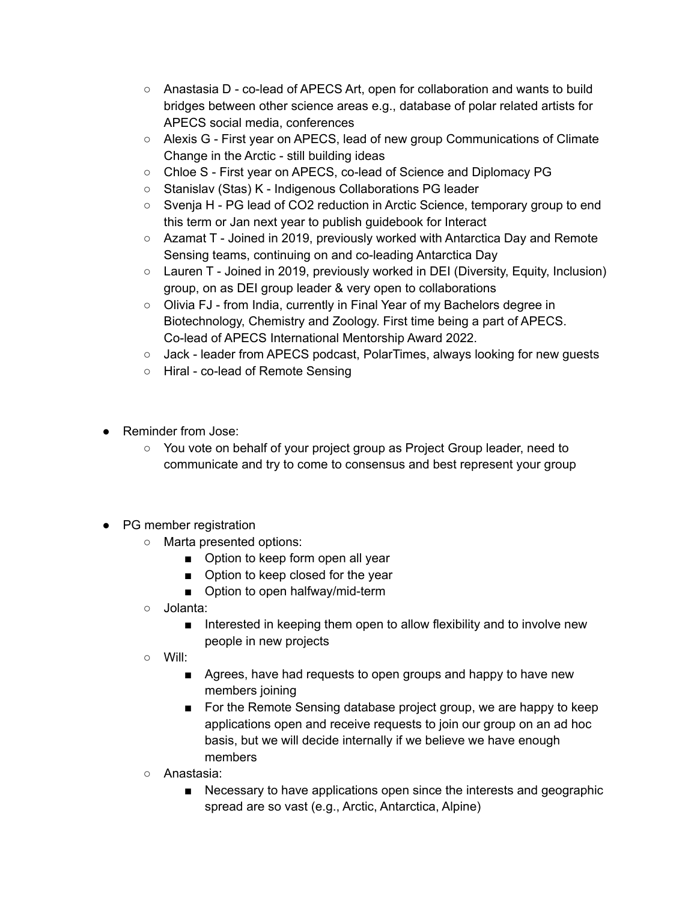- Anastasia D co-lead of APECS Art, open for collaboration and wants to build bridges between other science areas e.g., database of polar related artists for APECS social media, conferences
- Alexis G First year on APECS, lead of new group Communications of Climate Change in the Arctic - still building ideas
- Chloe S First year on APECS, co-lead of Science and Diplomacy PG
- Stanislav (Stas) K Indigenous Collaborations PG leader
- Svenja H PG lead of CO2 reduction in Arctic Science, temporary group to end this term or Jan next year to publish guidebook for Interact
- Azamat T Joined in 2019, previously worked with Antarctica Day and Remote Sensing teams, continuing on and co-leading Antarctica Day
- $\circ$  Lauren T Joined in 2019, previously worked in DEI (Diversity, Equity, Inclusion) group, on as DEI group leader & very open to collaborations
- Olivia FJ from India, currently in Final Year of my Bachelors degree in Biotechnology, Chemistry and Zoology. First time being a part of APECS. Co-lead of APECS International Mentorship Award 2022.
- Jack leader from APECS podcast, PolarTimes, always looking for new quests
- Hiral co-lead of Remote Sensing
- Reminder from Jose:
	- You vote on behalf of your project group as Project Group leader, need to communicate and try to come to consensus and best represent your group
- PG member registration
	- Marta presented options:
		- Option to keep form open all year
		- Option to keep closed for the year
		- Option to open halfway/mid-term
	- Jolanta:
		- Interested in keeping them open to allow flexibility and to involve new people in new projects
	- Will:
		- Agrees, have had requests to open groups and happy to have new members joining
		- For the Remote Sensing database project group, we are happy to keep applications open and receive requests to join our group on an ad hoc basis, but we will decide internally if we believe we have enough members
	- Anastasia:
		- Necessary to have applications open since the interests and geographic spread are so vast (e.g., Arctic, Antarctica, Alpine)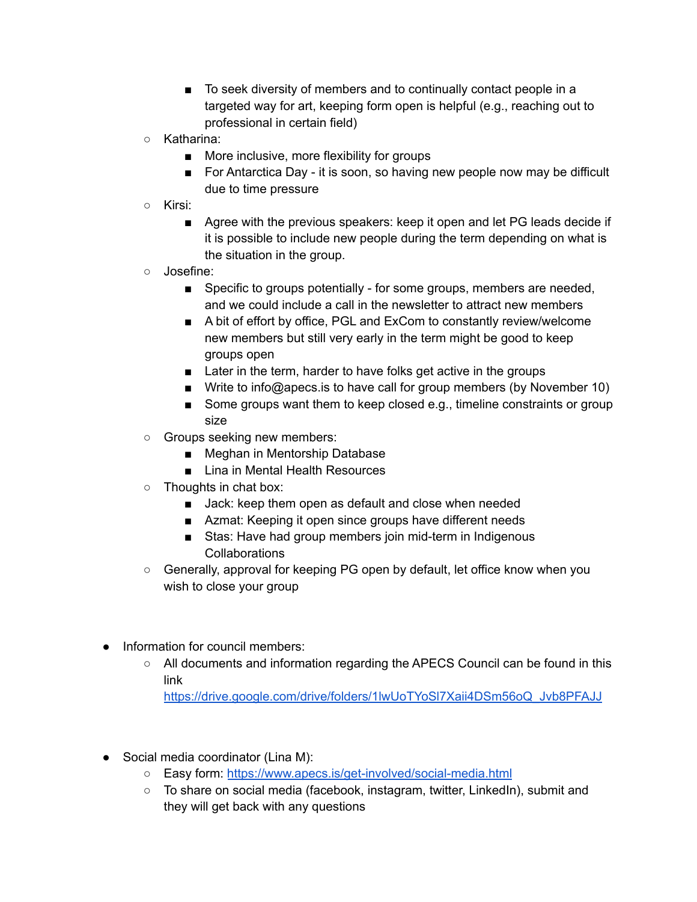- To seek diversity of members and to continually contact people in a targeted way for art, keeping form open is helpful (e.g., reaching out to professional in certain field)
- Katharina:
	- More inclusive, more flexibility for groups
	- For Antarctica Day it is soon, so having new people now may be difficult due to time pressure
- Kirsi:
	- Agree with the previous speakers: keep it open and let PG leads decide if it is possible to include new people during the term depending on what is the situation in the group.
- Josefine:
	- Specific to groups potentially for some groups, members are needed, and we could include a call in the newsletter to attract new members
	- A bit of effort by office, PGL and ExCom to constantly review/welcome new members but still very early in the term might be good to keep groups open
	- Later in the term, harder to have folks get active in the groups
	- Write to info@apecs.is to have call for group members (by November 10)
	- Some groups want them to keep closed e.g., timeline constraints or group size
- Groups seeking new members:
	- Meghan in Mentorship Database
	- Lina in Mental Health Resources
- Thoughts in chat box:
	- Jack: keep them open as default and close when needed
	- Azmat: Keeping it open since groups have different needs
	- Stas: Have had group members join mid-term in Indigenous Collaborations
- Generally, approval for keeping PG open by default, let office know when you wish to close your group
- Information for council members:
	- All documents and information regarding the APECS Council can be found in this link

[https://drive.google.com/drive/folders/1lwUoTYoSl7Xaii4DSm56oQ\\_Jvb8PFAJJ](https://drive.google.com/drive/folders/1lwUoTYoSl7Xaii4DSm56oQ_Jvb8PFAJJ)

- Social media coordinator (Lina M):
	- Easy form: <https://www.apecs.is/get-involved/social-media.html>
	- To share on social media (facebook, instagram, twitter, LinkedIn), submit and they will get back with any questions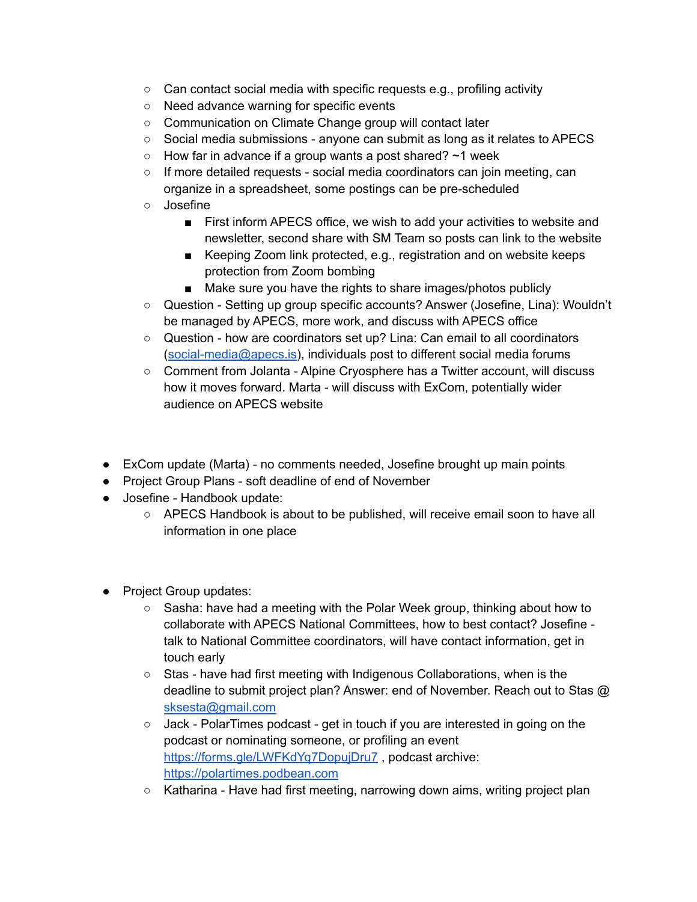- $\circ$  Can contact social media with specific requests e.g., profiling activity
- Need advance warning for specific events
- Communication on Climate Change group will contact later
- Social media submissions anyone can submit as long as it relates to APECS
- $\circ$  How far in advance if a group wants a post shared?  $\sim$ 1 week
- $\circ$  If more detailed requests social media coordinators can join meeting, can organize in a spreadsheet, some postings can be pre-scheduled
- Josefine
	- First inform APECS office, we wish to add your activities to website and newsletter, second share with SM Team so posts can link to the website
	- Keeping Zoom link protected, e.g., registration and on website keeps protection from Zoom bombing
	- Make sure you have the rights to share images/photos publicly
- Question Setting up group specific accounts? Answer (Josefine, Lina): Wouldn't be managed by APECS, more work, and discuss with APECS office
- Question how are coordinators set up? Lina: Can email to all coordinators ([social-media@apecs.is\)](mailto:social-media@apecs.is), individuals post to different social media forums
- Comment from Jolanta Alpine Cryosphere has a Twitter account, will discuss how it moves forward. Marta - will discuss with ExCom, potentially wider audience on APECS website
- ExCom update (Marta) no comments needed, Josefine brought up main points
- Project Group Plans soft deadline of end of November
- Josefine Handbook update:
	- APECS Handbook is about to be published, will receive email soon to have all information in one place
- Project Group updates:
	- $\circ$  Sasha: have had a meeting with the Polar Week group, thinking about how to collaborate with APECS National Committees, how to best contact? Josefine talk to National Committee coordinators, will have contact information, get in touch early
	- Stas have had first meeting with Indigenous Collaborations, when is the deadline to submit project plan? Answer: end of November. Reach out to Stas @ [sksesta@gmail.com](mailto:sksesta@gmail.com)
	- Jack PolarTimes podcast get in touch if you are interested in going on the podcast or nominating someone, or profiling an event <https://forms.gle/LWFKdYq7DopujDru7>, podcast archive: <https://polartimes.podbean.com>
	- Katharina Have had first meeting, narrowing down aims, writing project plan